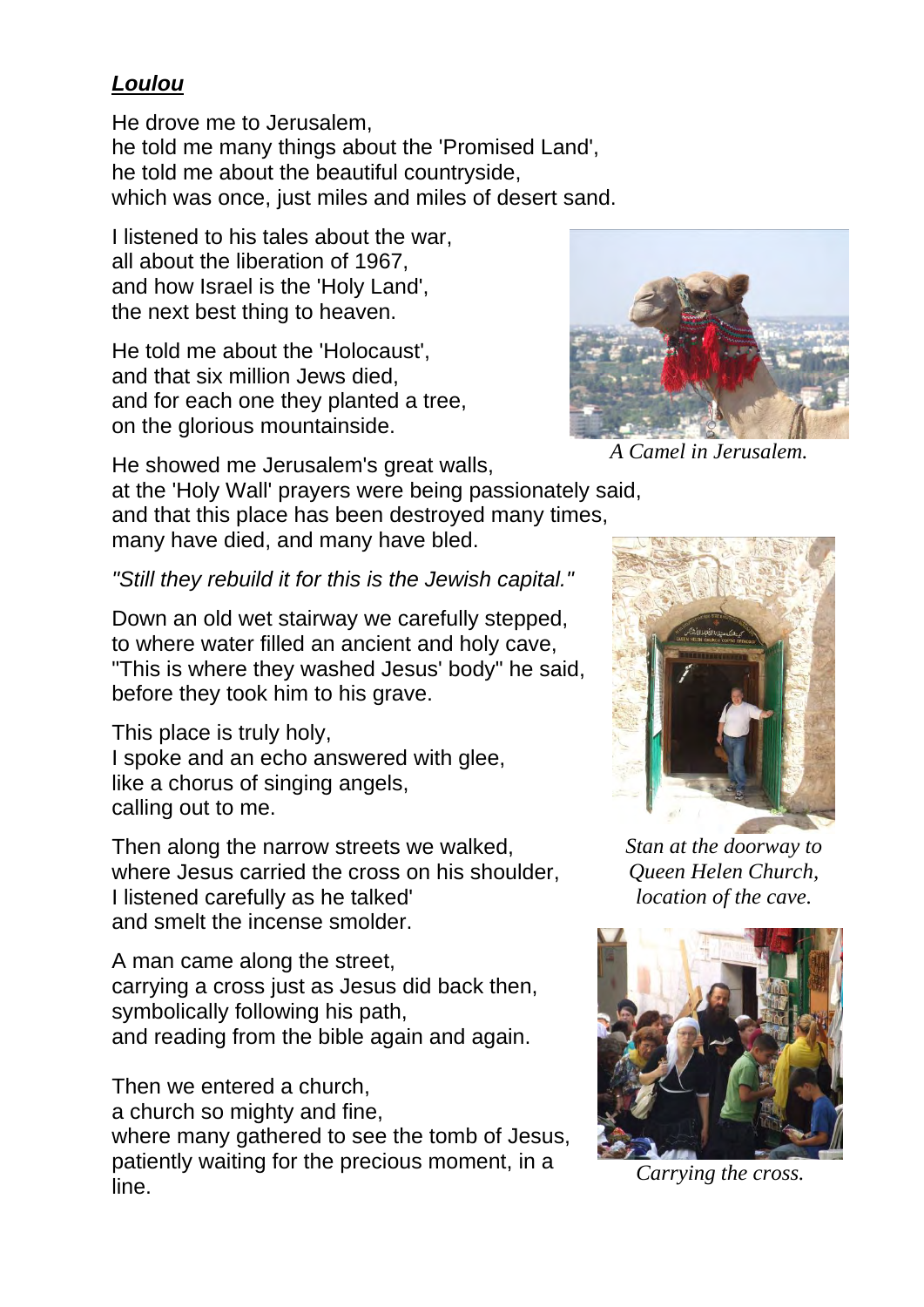## *Loulou*

He drove me to Jerusalem, he told me many things about the 'Promised Land', he told me about the beautiful countryside, which was once, just miles and miles of desert sand.

I listened to his tales about the war, all about the liberation of 1967, and how Israel is the 'Holy Land', the next best thing to heaven.

He told me about the 'Holocaust', and that six million Jews died, and for each one they planted a tree, on the glorious mountainside.



*A Camel in Jerusalem.*

He showed me Jerusalem's great walls,

at the 'Holy Wall' prayers were being passionately said, and that this place has been destroyed many times, many have died, and many have bled.

*"Still they rebuild it for this is the Jewish capital."*

Down an old wet stairway we carefully stepped, to where water filled an ancient and holy cave, " This is where they washed Jesus' body" he said, before they took him to his grave.

This place is truly holy, I spoke and an echo answered with glee, like a chorus of singing angels, calling out to me.

Then along the narrow streets we walked, where Jesus carried the cross on his shoulder, I listened carefully as he talked' and smelt the incense smolder.

A man came along the street, carrying a cross just as Jesus did back then, symbolically following his path, and reading from the bible again and again.

Then we entered a church, a church so mighty and fine,

where many gathered to see the tomb of Jesus, patiently waiting for the precious moment, in a line.



*Stan at the doorway to Queen Helen Church, location of the cave.*



*Carrying the cross.*